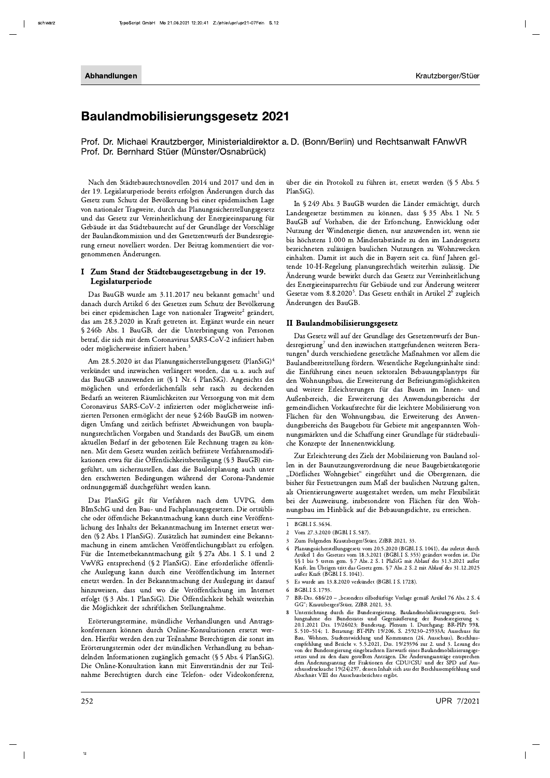# **Baulandmobilisierungsgesetz 2021**

Prof. Dr. Michael Krautzberger, Ministerialdirektor a. D. (Bonn/Berlin) und Rechtsanwalt FAnwVR Prof. Dr. Bernhard Stüer (Münster/Osnabrück)

Nach den Städtebaurechtsnovellen 2014 und 2017 und den in der 19. Legislaturperiode bereits erfolgten Änderungen durch das Gesetz zum Schutz der Bevölkerung bei einer epidemischen Lage von nationaler Tragweite, durch das Planungssicherstellungsgesetz und das Gesetz zur Vereinheitlichung der Energieeinsparung für Gebäude ist das Städtebaurecht auf der Grundlage der Vorschläge der Baulandkommission und des Gesetzentwurfs der Bundesregierung erneut novelliert worden. Der Beitrag kommentiert die vorgenommenen Änderungen.

## I Zum Stand der Städtebaugesetzgebung in der 19. Legislaturperiode

Das BauGB wurde am 3.11.2017 neu bekannt gemacht<sup>1</sup> und danach durch Artikel 6 des Gesetzes zum Schutz der Bevölkerung bei einer epidemischen Lage von nationaler Tragweite<sup>2</sup> geändert, das am 28.3.2020 in Kraft getreten ist. Ergänzt wurde ein neuer § 246b Abs. 1 BauGB, der die Unterbringung von Personen betraf, die sich mit dem Coronavirus SARS-CoV-2 infiziert haben oder möglicherweise infiziert haben.<sup>3</sup>

Am 28.5.2020 ist das Planungssicherstellungsgesetz (PlanSiG)<sup>4</sup> verkündet und inzwischen verlängert worden, das u. a. auch auf das BauGB anzuwenden ist (§ 1 Nr. 4 PlanSiG). Angesichts des möglichen und erforderlichenfalls sehr rasch zu deckenden Bedarfs an weiteren Räumlichkeiten zur Versorgung von mit dem Coronavirus SARS-CoV-2 infizierten oder möglicherweise infizierten Personen ermöglicht der neue § 246b BauGB im notwendigen Umfang und zeitlich befristet Abweichungen von bauplanungsrechtlichen Vorgaben und Standards des BauGB, um einem aktuellen Bedarf in der gebotenen Eile Rechnung tragen zu können. Mit dem Gesetz wurden zeitlich befristete Verfahrensmodifikationen etwa für die Öffentlichkeitsbeteiligung (§ 3 BauGB) eingeführt, um sicherzustellen, dass die Bauleitplanung auch unter den erschwerten Bedingungen während der Corona-Pandemie ordnungsgemäß durchgeführt werden kann.

Das PlanSiG gilt für Verfahren nach dem UVPG, dem BImSchG und den Bau- und Fachplanungsgesetzen. Die ortsübliche oder öffentliche Bekanntmachung kann durch eine Veröffentlichung des Inhalts der Bekanntmachung im Internet ersetzt werden (§ 2 Abs. 1 PlanSiG). Zusätzlich hat zumindest eine Bekanntmachung in einem amtlichen Veröffentlichungsblatt zu erfolgen. Für die Internetbekanntmachung gilt § 27a Abs. 1 S. 1 und 2 VwVfG entsprechend (§ 2 PlanSiG). Eine erforderliche öffentliche Auslegung kann durch eine Veröffentlichung im Internet ersetzt werden. In der Bekanntmachung der Auslegung ist darauf hinzuweisen, dass und wo die Veröffentlichung im Internet erfolgt (§ 3 Abs. 1 PlanSiG). Die Öffentlichkeit behält weiterhin die Möglichkeit der schriftlichen Stellungnahme.

Erörterungstermine, mündliche Verhandlungen und Antragskonferenzen können durch Online-Konsultationen ersetzt werden. Hierfür werden den zur Teilnahme Berechtigten die sonst im Erörterungstermin oder der mündlichen Verhandlung zu behandelnden Informationen zugänglich gemacht (§ 5 Abs. 4 PlanSiG). Die Online-Konsultation kann mit Einverständnis der zur Teilnahme Berechtigten durch eine Telefon- oder Videokonferenz,

über die ein Protokoll zu führen ist, ersetzt werden (§ 5 Abs. 5  $PlanSiG$ 

In § 249 Abs. 3 BauGB wurden die Länder ermächtigt, durch Landesgesetze bestimmen zu können, dass § 35 Abs. 1 Nr. 5 BauGB auf Vorhaben, die der Erforschung, Entwicklung oder Nutzung der Windenergie dienen, nur anzuwenden ist, wenn sie bis höchstens 1.000 m Mindestabstände zu den im Landesgesetz bezeichneten zulässigen baulichen Nutzungen zu Wohnzwecken einhalten. Damit ist auch die in Bayern seit ca. fünf Jahren geltende 10-H-Regelung planungsrechtlich weiterhin zulässig. Die Änderung wurde bewirkt durch das Gesetz zur Vereinheitlichung des Energieeinsparrechts für Gebäude und zur Änderung weiterer Gesetze vom 8.8.2020<sup>5</sup>. Das Gesetz enthält in Artikel 2<sup>6</sup> zugleich Änderungen des BauGB.

# II Baulandmobilisierungsgesetz

Das Gesetz will auf der Grundlage des Gesetzentwurfs der Bundesregierung<sup>7</sup> und den inzwischen stattgefundenen weiteren Beratungen<sup>8</sup> durch verschiedene gesetzliche Maßnahmen vor allem die Baulandbereitstellung fördern. Wesentliche Regelungsinhalte sind: die Einführung eines neuen sektoralen Bebauungsplantyps für den Wohnungsbau, die Erweiterung der Befreiungsmöglichkeiten und weitere Erleichterungen für das Bauen im Innen- und Außenbereich, die Erweiterung des Anwendungsbereichs der gemeindlichen Vorkaufsrechte für die leichtere Mobilisierung von Flächen für den Wohnungsbau, die Erweiterung des Anwendungsbereichs des Baugebots für Gebiete mit angespannten Wohnungsmärkten und die Schaffung einer Grundlage für städtebauliche Konzepte der Innenentwicklung.

Zur Erleichterung des Ziels der Mobilisierung von Bauland sollen in der Baunutzungsverordnung die neue Baugebietskategorie "Dörfliches Wohngebiet" eingeführt und die Obergrenzen, die bisher für Festsetzungen zum Maß der baulichen Nutzung galten, als Orientierungswerte ausgestaltet werden, um mehr Flexibilität bei der Ausweisung, insbesondere von Flächen für den Wohnungsbau im Hinblick auf die Bebauungsdichte, zu erreichen.

- Planungssicherstellungsgesetz vom 20.5.2020 (BGBl. I S. 1041), das zuletzt durch  $\overline{4}$ 1 antingsstatisticationusgestete vom 2007.2000 (DSDL1 S. 353) geändert worden ist. Die<br>St 1 bis 5 treten gem. § 7 Abs. 2 S. 1 PlaSiG mit Ablauf des 31.3.2021 außer<br>Kraft. Im Übrigen tritt das Gesetz gem. § 7 Abs. 2 S. 2 mi außer Kraft (BGBl. I S. 1041).
- Es wurde am 13.8.2020 verkündet (BGBl. I S. 1728).  $\overline{\phantom{0}}$

 $\mathbf{I}$ BGBl. I S. 3634.

Vom 27.3.2020 (BGBLI S. 587).  $\overline{2}$ 

 $\overline{3}$ Zum Folgenden Krautzberger/Stüer, ZfBR 2021, 33.

 $\sqrt{6}$ BGBL LS. 1793.

BR-Drs. 686/20 - "besonders eilbedürftige Vorlage gemäß Artikel 76 Abs. 2 S. 4 GG"; Krautzberger/Stüer, ZfBR 2021, 33.

Unterrichtung durch die Bundesregierung, Baulandmobilisierungsgesetz, Stel-Containing data and Gegenäußerung, Datamantoniansteilung allem Bundesregierung v.<br>20.1.2021 Drs. 19/26023; Bundestag, Plenum 1. Durchgang: BR-PIPr 998,<br>8.510–514; 1. Beratung: BT-PIPr 19/206, S. 259230–25933A; Ausschuss fü Bau, Wohnen, Stadtentwicklung und Kommunen (24. Ausschuss), Beschlussempfehlung und Bericht v. 5.5.2021, Drs. 19/29396 zur 2. und 3. Lesung des emprenung und bericht v. 3.3.2021, Drs. 19/29390 zur 2. und 3. Lesung des<br>von der Bundersegierung eingebrachten Entwurfs eines Baulandmobilisierungsge-<br>setzes und zu den dazu gestellten Anträgen. Die Änderungsanträge entsp Abschnitt VIII des Ausschussberichtes ergibt.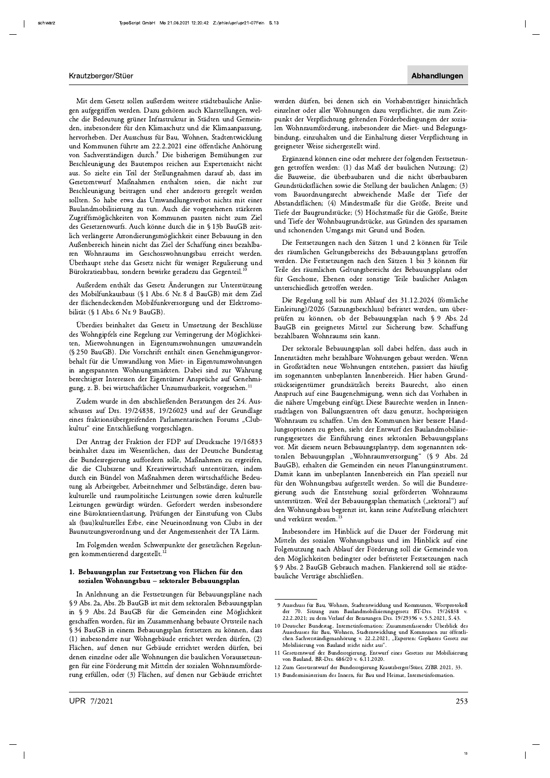Mit dem Gesetz sollen außerdem weitere städtebauliche Anliegen aufgegriffen werden. Dazu gehören auch Klarstellungen, welche die Bedeutung grüner Infrastruktur in Städten und Gemeinden, insbesondere für den Klimaschutz und die Klimaanpassung, hervorheben. Der Ausschuss für Bau, Wohnen, Stadtentwicklung und Kommunen führte am 22.2.2021 eine öffentliche Anhörung von Sachverständigen durch.<sup>9</sup> Die bisherigen Bemühungen zur Beschleunigung des Bautempos reichen aus Expertensicht nicht aus. So zielte ein Teil der Stellungnahmen darauf ab, dass im Gesetzentwurf Maßnahmen enthalten seien, die nicht zur Beschleunigung beitragen und eher anderorts geregelt werden sollten. So habe etwa das Umwandlungsverbot nichts mit einer Baulandmobilisierung zu tun. Auch die vorgesehenen stärkeren Zugriffsmöglichkeiten von Kommunen passten nicht zum Ziel des Gesetzentwurfs. Auch könne durch die in § 13b BauGB zeitlich verlängerte Arrondierungsmöglichkeit einer Bebauung in den Außenbereich hinein nicht das Ziel der Schaffung eines bezahlbaren Wohnraums im Geschosswohnungsbau erreicht werden. Überhaupt stehe das Gesetz nicht für weniger Regulierung und Bürokratieabbau, sondern bewirke geradezu das Gegenteil.

Außerdem enthält das Gesetz Änderungen zur Unterstützung des Mobilfunkausbaus (§ 1 Abs. 6 Nr. 8 d BauGB) mit dem Ziel der flächendeckenden Mobilfunkversorgung und der Elektromobilität (§ 1 Abs. 6 Nr. 9 BauGB).

Überdies beinhaltet das Gesetz in Umsetzung der Beschlüsse des Wohngipfels eine Regelung zur Verringerung der Möglichkeiten, Mietwohnungen in Eigentumswohnungen umzuwandeln (§ 250 BauGB). Die Vorschrift enthält einen Genehmigungsvorbehalt für die Umwandlung von Miet- in Eigentumswohnungen in angespannten Wohnungsmärkten. Dabei sind zur Wahrung berechtigter Interessen der Eigentümer Ansprüche auf Genehmigung, z. B. bei wirtschaftlicher Unzumutbarkeit, vorgesehen.<sup>11</sup>

Zudem wurde in den abschließenden Beratungen des 24. Ausschusses auf Drs. 19/24838, 19/26023 und auf der Grundlage eines fraktionsübergreifenden Parlamentarischen Forums "Clubkultur" eine Entschließung vorgeschlagen.

Der Antrag der Fraktion der FDP auf Drucksache 19/16833 beinhaltet dazu im Wesentlichen, dass der Deutsche Bundestag die Bundesregierung auffordern solle, Maßnahmen zu ergreifen, die die Clubszene und Kreativwirtschaft unterstützen, indem durch ein Bündel von Maßnahmen deren wirtschaftliche Bedeutung als Arbeitgeber, Arbeitnehmer und Selbständige, deren baukulturelle und raumpolitische Leistungen sowie deren kulturelle Leistungen gewürdigt würden. Gefordert werden insbesondere eine Bürokratieentlastung, Prüfungen der Einstufung von Clubs als (bau) kulturelles Erbe, eine Neueinordnung von Clubs in der Baunutzungsverordnung und der Angemessenheit der TA Lärm.

Im Folgenden werden Schwerpunkte der gesetzlichen Regelungen kommentierend dargestellt.<sup>12</sup>

## 1. Bebauungsplan zur Festsetzung von Flächen für den sozialen Wohnungsbau - sektoraler Bebauungsplan

In Anlehnung an die Festsetzungen für Bebauungspläne nach §9 Abs. 2a, Abs. 2b BauGB ist mit dem sektoralen Bebauungsplan in § 9 Abs. 2d BauGB für die Gemeinden eine Möglichkeit geschaffen worden, für im Zusammenhang bebaute Ortsteile nach § 34 BauGB in einem Bebauungsplan festsetzen zu können, dass (1) insbesondere nur Wohngebäude errichtet werden dürfen, (2) Flächen, auf denen nur Gebäude errichtet werden dürfen, bei denen einzelne oder alle Wohnungen die baulichen Voraussetzungen für eine Förderung mit Mitteln der sozialen Wohnraumförderung erfüllen, oder (3) Flächen, auf denen nur Gebäude errichtet

werden dürfen, bei denen sich ein Vorhabenträger hinsichtlich einzelner oder aller Wohnungen dazu verpflichtet, die zum Zeitpunkt der Verpflichtung geltenden Förderbedingungen der sozialen Wohnraumförderung, insbesondere die Miet- und Belegungsbindung, einzuhalten und die Einhaltung dieser Verpflichtung in geeigneter Weise sichergestellt wird.

Ergänzend können eine oder mehrere der folgenden Festsetzungen getroffen werden: (1) das Maß der baulichen Nutzung; (2) die Bauweise, die überbaubaren und die nicht überbaubaren Grundstücksflächen sowie die Stellung der baulichen Anlagen; (3) vom Bauordnungsrecht abweichende Maße der Tiefe der Abstandsflächen; (4) Mindestmaße für die Größe, Breite und Tiefe der Baugrundstücke; (5) Höchstmaße für die Größe, Breite und Tiefe der Wohnbaugrundstücke, aus Gründen des sparsamen und schonenden Umgangs mit Grund und Boden.

Die Festsetzungen nach den Sätzen 1 und 2 können für Teile des räumlichen Geltungsbereichs des Bebauungsplans getroffen werden. Die Festsetzungen nach den Sätzen 1 bis 3 können für Teile des räumlichen Geltungsbereichs des Bebauungsplans oder für Geschosse, Ebenen oder sonstige Teile baulicher Anlagen unterschiedlich getroffen werden.

Die Regelung soll bis zum Ablauf des 31.12.2024 (förmliche Einleitung)/2026 (Satzungsbeschluss) befristet werden, um überprüfen zu können, ob der Bebauungsplan nach § 9 Abs. 2d BauGB ein geeignetes Mittel zur Sicherung bzw. Schaffung bezahlbaren Wohnraums sein kann.

Der sektorale Bebauungsplan soll dabei helfen, dass auch in Innenstädten mehr bezahlbare Wohnungen gebaut werden. Wenn in Großstädten neue Wohnungen entstehen, passiert das häufig im sogenannten unbeplanten Innenbereich. Hier haben Grundstückseigentümer grundsätzlich bereits Baurecht, also einen Anspruch auf eine Baugenehmigung, wenn sich das Vorhaben in die nähere Umgebung einfügt. Diese Baurechte werden in Innenstadtlagen von Ballungszentren oft dazu genutzt, hochpreisigen Wohnraum zu schaffen. Um den Kommunen hier bessere Handlungsoptionen zu geben, sieht der Entwurf des Baulandmobilisierungsgesetzes die Einführung eines sektoralen Bebauungsplans vor. Mit diesem neuen Bebauungsplantyp, dem sogenannten sektoralen Bebauungsplan "Wohnraumversorgung" (§ 9 Abs. 2d BauGB), erhalten die Gemeinden ein neues Planungsinstrument. Damit kann im unbeplanten Innenbereich ein Plan speziell nur für den Wohnungsbau aufgestellt werden. So will die Bundesregierung auch die Entstehung sozial geförderten Wohnraums unterstützen. Weil der Bebauungsplan thematisch ("sektoral") auf den Wohnungsbau begrenzt ist, kann seine Aufstellung erleichtert und verkürzt werden.<sup>13</sup>

Insbesondere im Hinblick auf die Dauer der Förderung mit Mitteln des sozialen Wohnungsbaus und im Hinblick auf eine Folgenutzung nach Ablauf der Förderung soll die Gemeinde von den Möglichkeiten bedingter oder befristeter Festsetzungen nach §9 Abs. 2 BauGB Gebrauch machen. Flankierend soll sie städtebauliche Verträge abschließen.

- 12 Zum Gesetzentwurf der Bundesregierung Krautzberger/Stüer, ZfBR 2021, 33.
- 13 Bundesministerium des Innern, für Bau und Heimat, Internetinformation.

<sup>9</sup> Ausschuss für Bau, Wohnen, Stadtentwicklung und Kommunen, Wortprotokoll Alexander Manuel Manuel Manuel (and the Toler Manuel Manuel Manuel Manuel Manuel Manuel Manuel Manuel Manuel Manuel Manuel Manuel Manuel Manuel Manuel Manuel Manuel Manuel Manuel Manuel Manuel Manuel Manuel Manuel Manuel M  $19/24838$  v

 $10\text{ Deutscher Bundestag, Internetinformation: Zusammenfassender Überblick des Ausschusses für Bau, Wohnen, Stadtentwicklung und Kommunen zur öffenlichen Sachverständigenanhörung v. 22.2.2021, "Experten: Geplantes Gesetz zur$ Mobilisierung von Bauland reicht nicht aus"

<sup>11</sup> Gesetzentwurf der Bundesregierung, Entwurf eines Gesetzes zur Mobilisierung von Bauland, BR-Drs. 686/20 v. 6.11.2020.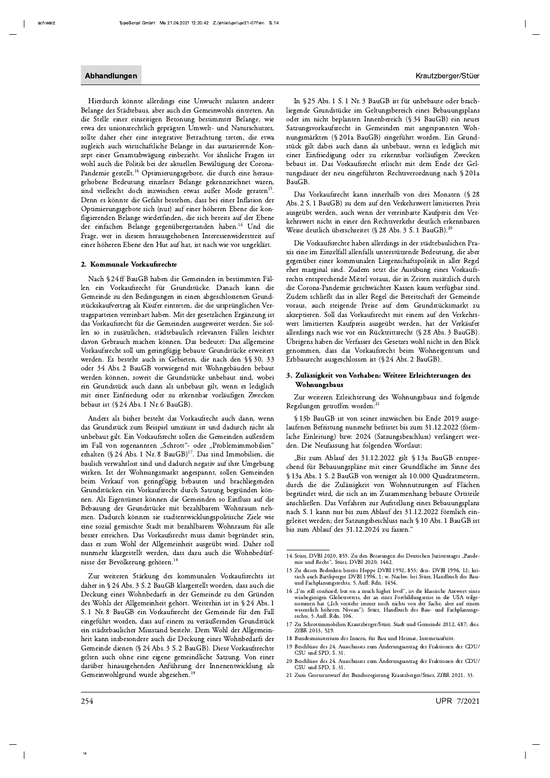Hierdurch könnte allerdings eine Unwucht zulasten anderer Belange des Städtebaus, aber auch des Gemeinwohls eintreten. An die Stelle einer einseitigen Betonung bestimmter Belange, wie etwa des unionsrechtlich geprägten Umwelt- und Naturschutzes, sollte daher eher eine integrative Betrachtung treten, die etwa zugleich auch wirtschaftliche Belange in das austarierende Konzept einer Gesamtabwägung einbezieht. Vor ähnliche Fragen ist wohl auch die Politik bei der aktuellen Bewältigung der Corona-Pandemie gestellt.<sup>14</sup> Optimierungsgebote, die durch eine herausgehobene Bedeutung einzelner Belange gekennzeichnet waren, sind vielleicht doch inzwischen etwas außer Mode geraten<sup>15</sup>. Denn es könnte die Gefahr bestehen, dass bei einer Inflation der Optimierungsgebote sich (nur) auf einer höheren Ebene die konfligierenden Belange wiederfinden, die sich bereits auf der Ebene der einfachen Belange gegenübergestanden haben.<sup>16</sup> Und die Frage, wer in diesem herausgehobenen Interessenwiderstreit auf einer höheren Ebene den Hut auf hat, ist nach wie vor ungeklärt.

#### 2. Kommunale Vorkaufsrechte

Nach § 24 ff BauGB haben die Gemeinden in bestimmten Fällen ein Vorkaufsrecht für Grundstücke. Danach kann die Gemeinde zu den Bedingungen in einen abgeschlossenen Grundstückskaufvertrag als Käufer eintreten, die die ursprünglichen Vertragsparteien vereinbart haben. Mit der gesetzlichen Ergänzung ist das Vorkaufsrecht für die Gemeinden ausgeweitet werden. Sie sollen so in zusätzlichen, städtebaulich relevanten Fällen leichter davon Gebrauch machen können. Das bedeutet: Das allgemeine Vorkaufsrecht soll um geringfügig bebaute Grundstücke erweitert werden. Es besteht auch in Gebieten, die nach den §§ 30, 33 oder 34 Abs. 2 BauGB vorwiegend mit Wohngebäuden bebaut werden können, soweit die Grundstücke unbebaut sind, wobei ein Grundstück auch dann als unbebaut gilt, wenn es lediglich mit einer Einfriedung oder zu erkennbar vorläufigen Zwecken bebaut ist (§ 24 Abs. 1 Nr. 6 BauGB).

Anders als bisher besteht das Vorkaufrecht auch dann, wenn das Grundstück zum Beispiel umzäunt ist und dadurch nicht als unbebaut gilt. Ein Vorkaufsrecht sollen die Gemeinden außerdem im Fall von sogenannten "Schrott"- oder "Problemimmobilien" erhalten (§ 24 Abs. 1 Nr. 8 BauGB)<sup>17</sup>. Das sind Immobilien, die baulich verwahrlost sind und dadurch negativ auf ihre Umgebung wirken. Ist der Wohnungsmarkt angespannt, sollen Gemeinden beim Verkauf von geringfügig bebauten und brachliegenden Grundstücken ein Vorkaufsrecht durch Satzung begründen können. Als Eigentümer können die Gemeinden so Einfluss auf die Bebauung der Grundstücke mit bezahlbarem Wohnraum nehmen. Dadurch können sie stadtentwicklungspolitische Ziele wie eine sozial gemischte Stadt mit bezahlbarem Wohnraum für alle besser erreichen. Das Vorkaufsrecht muss damit begründet sein, dass es zum Wohl der Allgemeinheit ausgeübt wird. Daher soll nunmehr klargestellt werden, dass dazu auch die Wohnbedürfnisse der Bevölkerung gehören.<sup>18</sup>

Zur weiteren Stärkung des kommunalen Vorkaufsrechts ist daher in §24 Abs. 3 S. 2 BauGB klargestellt worden, dass auch die Deckung eines Wohnbedarfs in der Gemeinde zu den Gründen des Wohls der Allgemeinheit gehört. Weiterhin ist in § 24 Abs. 1 S. 1 Nr. 8 BauGB ein Vorkaufsrecht der Gemeinde für den Fall eingeführt worden, dass auf einem zu veräußernden Grundstück ein städtebaulicher Missstand besteht. Dem Wohl der Allgemeinheit kann insbesondere auch die Deckung eines Wohnbedarfs der Gemeinde dienen (§ 24 Abs. 3 S. 2 BauGB). Diese Vorkaufsrechte gelten auch ohne eine eigene gemeindliche Satzung. Von einer darüber hinausgehenden Anführung der Innenentwicklung als Gemeinwohlgrund wurde abgesehen.<sup>1</sup>

In § 25 Abs. 1 S. 1 Nr. 3 BauGB ist für unbebaute oder brachliegende Grundstücke im Geltungsbereich eines Bebauungsplans oder im nicht beplanten Innenbereich (§ 34 BauGB) ein neues Satzungsvorkaufsrecht in Gemeinden mit angespannten Wohnungsmärkten (§ 201a BauGB) eingeführt worden. Ein Grundstück gilt dabei auch dann als unbebaut, wenn es lediglich mit einer Einfriedigung oder zu erkennbar vorläufigen Zwecken bebaut ist. Das Vorkaufsrecht erlischt mit dem Ende der Geltungsdauer der neu eingeführten Rechtsverordnung nach § 201a BauGB.

Das Vorkaufsrecht kann innerhalb von drei Monaten (§ 28 Abs. 2 S. 1 BauGB) zu dem auf den Verkehrswert limitierten Preis ausgeübt werden, auch wenn der vereinbarte Kaufpreis den Verkehrswert nicht in einer den Rechtsverkehr deutlich erkennbaren Weise deutlich überschreitet (§ 28 Abs. 3 S. 1 BauGB).<sup>20</sup>

Die Vorkaufsrechte haben allerdings in der städtebaulichen Praxis eine im Einzelfall allenfalls unterstützende Bedeutung, die aber gegenüber einer kommunalen Liegenschaftspolitik in aller Regel eher marginal sind. Zudem setzt die Ausübung eines Vorkaufsrechts entsprechende Mittel voraus, die in Zeiten zusätzlich durch die Corona-Pandemie geschwächter Kassen kaum verfügbar sind. Zudem schließt das in aller Regel die Bereitschaft der Gemeinde voraus, auch steigende Preise auf dem Grundstücksmarkt zu akzeptieren. Soll das Vorkaufsrecht mit einem auf den Verkehrswert limitierten Kaufpreis ausgeübt werden, hat der Verkäufer allerdings nach wie vor ein Rücktrittsrecht (§ 28 Abs. 3 BauGB). Übrigens haben die Verfasser des Gesetzes wohl nicht in den Blick genommen, dass das Vorkaufsrecht beim Wohneigentum und Erbbaurecht ausgeschlossen ist (§ 24 Abs. 2 BauGB).

## 3. Zulässigkeit von Vorhaben: Weitere Erleichterungen des Wohnungsbaus

Zur weiteren Erleichterung des Wohnungsbaus sind folgende Regelungen getroffen worden:<sup>21</sup>

§ 13b BauGB ist von seiner inzwischen bis Ende 2019 ausgelaufenen Befristung nunmehr befristet bis zum 31.12.2022 (förmliche Einleitung) bzw. 2024 (Satzungsbeschluss) verlängert werden. Die Neufassung hat folgenden Wortlaut:

"Bis zum Ablauf des 31.12.2022 gilt § 13a BauGB entsprechend für Bebauungspläne mit einer Grundfläche im Sinne des § 13a Abs. 1 S. 2 BauGB von weniger als 10.000 Quadratmetern, durch die die Zulässigkeit von Wohnnutzungen auf Flächen begründet wird, die sich an im Zusammenhang bebaute Ortsteile anschließen. Das Verfahren zur Aufstellung eines Bebauungsplans nach S. 1 kann nur bis zum Ablauf des 31.12.2022 förmlich eingeleitet werden; der Satzungsbeschluss nach § 10 Abs. 1 BauGB ist bis zum Ablauf des 31.12.2024 zu fassen."

<sup>14</sup> Stüer, DVBl 2020, 855. Zu den Beratungen des Deutschen Juristentages "Pandemie und Recht", Stüer, DVBl 2020, 1462.

<sup>15</sup> Zu diesen Bedenken bereits Hoppe DVBl 1992, 853; ders. DVBl 1996, 12; kritisch auch Bartlsperger DVBl 1996, 1; w. Nachw. bei Stüer, Handbuch des Bauund Fachplanungsrechts, 5. Aufl. Rdn. 1454.

<sup>16 &</sup>quot;I'm still confused, but on a much higher level", ist die klassische Antwort eines wissbegierigen Globetrotters, der an einer Fortbildungsreise in die USA teilgenommen hat ("Ich verstehe immer noch nichts von der Sache, aber auf einem wesentlich höheren Niveau"); Stüer, Handbuch des Bau- und Fachplanungsrechts, 5. Aufl. Rdn. 106.

<sup>17</sup> Zu Schrottimmobilien Krautzberger/Stüer, Stadt und Gemeinde 2012, 487; dies. ZfBR 2013, 529.

<sup>18</sup> Bundesministerium des Innern, für Bau und Heimat, Internetauftritt.

<sup>19</sup> Beschlüsse des 24. Ausschusses zum Änderungsantrag der Fraktionen der CDU/ CSU und SPD, S. 31.

<sup>20</sup> Beschlüsse des 24. Ausschusses zum Änderungsantrag der Fraktionen der CDU/ CSU und SPD, S.31.

<sup>21</sup> Zum Gesetzentwurf der Bundesregierung Krautzberger/Stüer, ZfBR 2021, 33.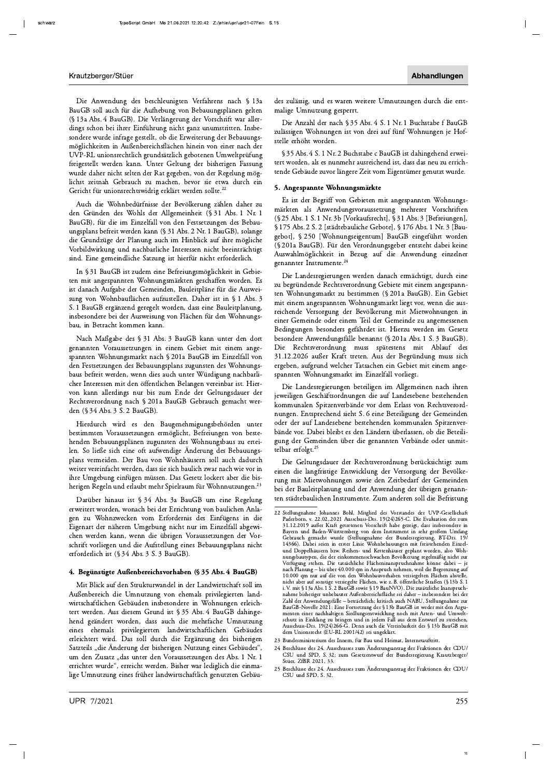Die Anwendung des beschleunigten Verfahrens nach § 13a BauGB soll auch für die Aufhebung von Bebauungsplänen gelten (§ 13a Abs. 4 BauGB). Die Verlängerung der Vorschrift war allerdings schon bei ihrer Einführung nicht ganz unumstritten. Insbesondere wurde infrage gestellt, ob die Erweiterung der Bebauungsmöglichkeiten in Außenbereichsflächen hinein von einer nach der UVP-RL unionsrechtlich grundsätzlich gebotenen Umweltprüfung freigestellt werden kann. Unter Geltung der bisherigen Fassung wurde daher nicht selten der Rat gegeben, von der Regelung möglichst zeitnah Gebrauch zu machen, bevor sie etwa durch ein Gericht für unionsrechtswidrig erklärt werden sollte.<sup>22</sup>

Auch die Wohnbedürfnisse der Bevölkerung zählen daher zu den Gründen des Wohls der Allgemeinheit (§ 31 Abs. 1 Nr. 1 BauGB), für die im Einzelfall von den Festsetzungen des Bebauungsplans befreit werden kann (§ 31 Abs. 2 Nr. 1 BauGB), solange die Grundzüge der Planung auch im Hinblick auf ihre mögliche Vorbildwirkung und nachbarliche Interessen nicht beeinträchtigt sind. Eine gemeindliche Satzung ist hierfür nicht erforderlich.

In §31 BauGB ist zudem eine Befreiungsmöglichkeit in Gebieten mit angespannten Wohnungsmärkten geschaffen worden. Es ist danach Aufgabe der Gemeinden, Bauleitpläne für die Ausweisung von Wohnbauflächen aufzustellen. Daher ist in § 1 Abs. 3 S. 1 BauGB ergänzend geregelt worden, dass eine Bauleitplanung, insbesondere bei der Ausweisung von Flächen für den Wohnungsbau, in Betracht kommen kann.

Nach Maßgabe des § 31 Abs. 3 BauGB kann unter den dort genannten Voraussetzungen in einem Gebiet mit einem angespannten Wohnungsmarkt nach § 201a BauGB im Einzelfall von den Festsetzungen des Bebauungsplans zugunsten des Wohnungsbaus befreit werden, wenn dies auch unter Würdigung nachbarlicher Interessen mit den öffentlichen Belangen vereinbar ist. Hiervon kann allerdings nur bis zum Ende der Geltungsdauer der Rechtsverordnung nach § 201a BauGB Gebrauch gemacht werden (§ 34 Abs. 3 S. 2 BauGB).

Hierdurch wird es den Baugenehmigungsbehörden unter bestimmten Voraussetzungen ermöglicht, Befreiungen von bestehenden Bebauungsplänen zugunsten des Wohnungsbaus zu erteilen. So ließe sich eine oft aufwendige Änderung des Bebauungsplans vermeiden. Der Bau von Wohnhäusern soll auch dadurch weiter vereinfacht werden, dass sie sich baulich zwar nach wie vor in ihre Umgebung einfügen müssen. Das Gesetz lockert aber die bisherigen Regeln und erlaubt mehr Spielraum für Wohnnutzungen.<sup>23</sup>

Darüber hinaus ist § 34 Abs. 3a BauGB um eine Regelung erweitert worden, wonach bei der Errichtung von baulichen Anlagen zu Wohnzwecken vom Erfordernis des Einfügens in die Eigenart der näheren Umgebung nicht nur im Einzelfall abgewichen werden kann, wenn die übrigen Voraussetzungen der Vorschrift vorliegen und die Aufstellung eines Bebauungsplans nicht erforderlich ist (§ 34 Abs. 3 S. 3 BauGB).

## 4. Begünstigte Außenbereichsvorhaben (§ 35 Abs. 4 BauGB)

Mit Blick auf den Strukturwandel in der Landwirtschaft soll im Außenbereich die Umnutzung von ehemals privilegierten landwirtschaftlichen Gebäuden insbesondere in Wohnungen erleichtert werden. Aus diesem Grund ist § 35 Abs. 4 BauGB dahingehend geändert worden, dass auch die mehrfache Umnutzung eines ehemals privilegierten landwirtschaftlichen Gebäudes erleichtert wird. Das soll durch die Ergänzung des bisherigen Satzteils "die Änderung der bisherigen Nutzung eines Gebäudes", um den Zusatz "das unter den Voraussetzungen des Abs. 1 Nr. 1 errichtet wurde", erreicht werden. Bisher war lediglich die einmalige Umnutzung eines früher landwirtschaftlich genutzten Gebäudes zulässig, und es waren weitere Umnutzungen durch die erstmalige Umnutzung gesperrt.

Die Anzahl der nach § 35 Abs. 4 S. 1 Nr. 1 Buchstabe f BauGB zulässigen Wohnungen ist von drei auf fünf Wohnungen je Hofstelle erhöht worden.

§35 Abs. 4 S. 1 Nr. 2 Buchstabe c BauGB ist dahingehend erweitert worden, als es nunmehr ausreichend ist, dass das neu zu errichtende Gebäude zuvor längere Zeit vom Eigentümer genutzt wurde.

#### 5. Angespannte Wohnungsmärkte

Es ist der Begriff von Gebieten mit angespannten Wohnungsmärkten als Anwendungsvoraussetzung mehrerer Vorschriften (§ 25 Abs. 1 S. 1 Nr. 3b [Vorkaufsrecht], § 31 Abs. 3 [Befreiungen], § 175 Abs. 2 S. 2 [städtebauliche Gebote], § 176 Abs. 1 Nr. 3 [Baugebot], § 250 [Wohnungseigentum] BauGB eingeführt worden (§ 201a BauGB). Für den Verordnungsgeber entsteht dabei keine Auswahlmöglichkeit in Bezug auf die Anwendung einzelner genannter Instrumente.<sup>24</sup>

Die Landesregierungen werden danach ermächtigt, durch eine zu begründende Rechtsverordnung Gebiete mit einem angespannten Wohnungsmarkt zu bestimmen (§ 201a BauGB). Ein Gebiet mit einem angespannten Wohnungsmarkt liegt vor, wenn die ausreichende Versorgung der Bevölkerung mit Mietwohnungen in einer Gemeinde oder einem Teil der Gemeinde zu angemessenen Bedingungen besonders gefährdet ist. Hierzu werden im Gesetz besondere Anwendungsfälle benannt (§ 201a Abs. 1 S. 3 BauGB). Die Rechtsverordnung muss spätestens mit Ablauf des 31.12.2026 außer Kraft treten. Aus der Begründung muss sich ergeben, aufgrund welcher Tatsachen ein Gebiet mit einem angespannten Wohnungsmarkt im Einzelfall vorliegt.

Die Landesregierungen beteiligen im Allgemeinen nach ihren jeweiligen Geschäftsordnungen die auf Landesebene bestehenden kommunalen Spitzenverbände vor dem Erlass von Rechtsverordnungen. Entsprechend sieht S. 6 eine Beteiligung der Gemeinden oder der auf Landesebene bestehenden kommunalen Spitzenverbände vor. Dabei bleibt es den Ländern überlassen, ob die Beteiligung der Gemeinden über die genannten Verbände oder unmittelbar erfolgt.<sup>25</sup>

Die Geltungsdauer der Rechtsverordnung berücksichtigt zum einen die langfristige Entwicklung der Versorgung der Bevölkerung mit Mietwohnungen sowie den Zeitbedarf der Gemeinden bei der Bauleitplanung und der Anwendung der übrigen genannten städtebaulichen Instrumente. Zum anderen soll die Befristung

- 24 Beschlüsse des 24. Ausschusses zum Änderungsantrag der Fraktionen der CDU/<br>CSU und SPD, S. 32; zum Gesetzentwurf der Bundesregierung Krautzberger/ Stüer, ZfBR 2021, 33.
- Beschlüsse des 24. Ausschusses zum Änderungsantrag der Fraktionen der CDU/ CSU und SPD, S. 32.

<sup>22</sup> Stellungnahme Johannes Bohl, Mitglied des Vorstandes der UVP-Gesellschaft Statement Journals County Strategy and Townships Paderborn, v. 22.02.,2021 Ausschuss-Drs. 19(24)265-C. Die Evaluation der zum<br>31.12.2019 außer Kraft getretenen Vorschrift habe gezeigt, dass insbesondere in Bayern und Baden Gebrauch gemacht wurde (Stellungnahme der Bundesregierung, BT-Drs. 197<br>14366). Dabei seien in erster Linie Wohnbebauungen mit freistehenden Einzelund Doppelhäusern bzw. Reihen- und Kettenhäuser geplant worden, also Wohnungsbautypen, die der einkommensschwachen Bevölkerung regelmäßig nicht zur Verfügung stehen. Die tatsächliche Flächeninanspruchnahme könne dabei – je nach Planung – bis über 40.000 qm in Anspruch nehmen, weil die Begrenzu 10.000 qm nur auf die von den Wohnbauvorhaben versiegelten Flächen abstelle, nicht aber auf sonstige versiegelte Flächen, wie z. B. öffentliche Straßen (§ 13b S. 1<br>i.V. mit § 13a Abs. 1 S. 2 BauGB sowie § 19 BauNVO). Die z nahme bisheriger unbebauter Außenbereichsfläche sei daher – insbesondere bei der<br>Zahl der Anwendungsfälle – beträchtlich; kritisch auch NABU, Stellungnahme zur BauGB-Novelle 2021: Eine Fortsetzung des § 13b BauGB ist weder mit den Argumenten einer nachhaltigen Siedlungsentwicklung noch mit Arten- und Umweltschutz in Einklang zu bringen und in jedem Fall aus dem Entwurf zu streichen, Ausschuss-Drs. 19(24)266-G. Denn auch die Vereinbarkeit des § 13b BauGB dem Unionsrecht (EU-RL 2001/42) sei ungeklärt.

<sup>23</sup> Bundesministerium des Innern, für Bau und Heimat, Internetauftritt.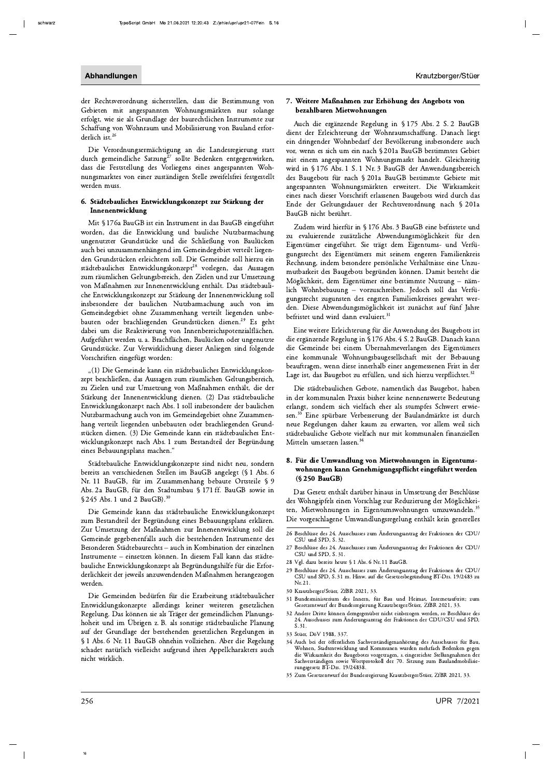der Rechtsverordnung sicherstellen, dass die Bestimmung von Gebieten mit angespannten Wohnungsmärkten nur solange erfolgt, wie sie als Grundlage der baurechtlichen Instrumente zur Schaffung von Wohnraum und Mobilisierung von Bauland erforderlich ist.<sup>26</sup>

Die Verordnungsermächtigung an die Landesregierung statt durch gemeindliche Satzung<sup>27</sup> sollte Bedenken entgegenwirken, dass die Feststellung des Vorliegens eines angespannten Wohnungsmarktes von einer zuständigen Stelle zweifelsfrei festgestellt werden muss.

#### 6. Städtebauliches Entwicklungskonzept zur Stärkung der Innenentwicklung

Mit § 176a BauGB ist ein Instrument in das BauGB eingeführt worden, das die Entwicklung und bauliche Nutzbarmachung ungenutzter Grundstücke und die Schließung von Baulücken auch bei unzusammenhängend im Gemeindegebiet verteilt liegenden Grundstücken erleichtern soll. Die Gemeinde soll hierzu ein städtebauliches Entwicklungskonzept<sup>28</sup> vorlegen, das Aussagen zum räumlichen Geltungsbereich, den Zielen und zur Umsetzung von Maßnahmen zur Innenentwicklung enthält. Das städtebauliche Entwicklungskonzept zur Stärkung der Innenentwicklung soll insbesondere der baulichen Nutzbarmachung auch von im Gemeindegebiet ohne Zusammenhang verteilt liegenden unbebauten oder brachliegenden Grundstücken dienen.<sup>29</sup> Es geht dabei um die Reaktivierung von Innenbereichspotenzialflächen. Aufgeführt werden u. a. Brachflächen, Baulücken oder ungenutzte Grundstücke. Zur Verwirklichung dieser Anliegen sind folgende Vorschriften eingefügt worden:

"(1) Die Gemeinde kann ein städtebauliches Entwicklungskonzept beschließen, das Aussagen zum räumlichen Geltungsbereich, zu Zielen und zur Umsetzung von Maßnahmen enthält, die der Stärkung der Innenentwicklung dienen. (2) Das städtebauliche Entwicklungskonzept nach Abs. 1 soll insbesondere der baulichen Nutzbarmachung auch von im Gemeindegebiet ohne Zusammenhang verteilt liegenden unbebauten oder brachliegenden Grundstücken dienen. (3) Die Gemeinde kann ein städtebauliches Entwicklungskonzept nach Abs. 1 zum Bestandteil der Begründung eines Bebauungsplans machen."

Städtebauliche Entwicklungskonzepte sind nicht neu, sondern bereits an verschiedenen Stellen im BauGB angelegt (§ 1 Abs. 6 Nr. 11 BauGB, für im Zusammenhang bebaute Ortsteile § 9 Abs. 2a BauGB, für den Stadtumbau § 171 ff. BauGB sowie in § 245 Abs. 1 und 2 BauGB).<sup>30</sup>

Die Gemeinde kann das städtebauliche Entwicklungskonzept zum Bestandteil der Begründung eines Bebauungsplans erklären. Zur Umsetzung der Maßnahmen zur Innenentwicklung soll die Gemeinde gegebenenfalls auch die bestehenden Instrumente des Besonderen Städtebaurechts - auch in Kombination der einzelnen Instrumente - einsetzen können. In diesem Fall kann das städtebauliche Entwicklungskonzept als Begründungshilfe für die Erforderlichkeit der jeweils anzuwendenden Maßnahmen herangezogen werden.

Die Gemeinden bedürfen für die Erarbeitung städtebaulicher Entwicklungskonzepte allerdings keiner weiteren gesetzlichen Regelung. Das können sie als Träger der gemeindlichen Planungshoheit und im Übrigen z. B. als sonstige städtebauliche Planung auf der Grundlage der bestehenden gesetzlichen Regelungen in § 1 Abs. 6 Nr. 11 BauGB ohnehin vollziehen. Aber die Regelung schadet natürlich vielleicht aufgrund ihres Appellcharakters auch nicht wirklich.

#### 7. Weitere Maßnahmen zur Erhöhung des Angebots von bezahlbaren Mietwohnungen

Auch die ergänzende Regelung in § 175 Abs. 2 S. 2 BauGB dient der Erleichterung der Wohnraumschaffung. Danach liegt ein dringender Wohnbedarf der Bevölkerung insbesondere auch vor, wenn es sich um ein nach § 201a BauGB bestimmtes Gebiet mit einem angespannten Wohnungsmarkt handelt. Gleichzeitig wird in § 176 Abs. 1 S. 1 Nr. 3 BauGB der Anwendungsbereich des Baugebots für nach § 201a BauGB bestimmte Gebiete mit angespannten Wohnungsmärkten erweitert. Die Wirksamkeit eines nach dieser Vorschrift erlassenen Baugebots wird durch das Ende der Geltungsdauer der Rechtsverordnung nach § 201a BauGB nicht berührt.

Zudem wird hierfür in § 176 Abs. 3 BauGB eine befristete und zu evaluierende zusätzliche Abwendungsmöglichkeit für den Eigentümer eingeführt. Sie trägt dem Eigentums- und Verfügungsrecht des Eigentümers mit seinem engeren Familienkreis Rechnung, indem besondere persönliche Verhältnisse eine Unzumutbarkeit des Baugebots begründen können. Damit besteht die Möglichkeit, dem Eigentümer eine bestimmte Nutzung - nämlich Wohnbebauung - vorzuschreiben. Jedoch soll das Verfügungsrecht zugunsten des engsten Familienkreises gewahrt werden. Diese Abwendungsmöglichkeit ist zunächst auf fünf Jahre befristet und wird dann evaluiert.<sup>31</sup>

Eine weitere Erleichterung für die Anwendung des Baugebots ist die ergänzende Regelung in § 176 Abs. 4 S. 2 BauGB. Danach kann die Gemeinde bei einem Übernahmeverlangen des Eigentümers eine kommunale Wohnungsbaugesellschaft mit der Bebauung beauftragen, wenn diese innerhalb einer angemessenen Frist in der Lage ist, das Baugebot zu erfüllen, und sich hierzu verpflichtet.<sup>32</sup>

Die städtebaulichen Gebote, namentlich das Baugebot, haben in der kommunalen Praxis bisher keine nennenswerte Bedeutung erlangt, sondern sich vielfach eher als stumpfes Schwert erwiesen.<sup>33</sup> Eine spürbare Verbesserung der Baulandmärkte ist durch neue Regelungen daher kaum zu erwarten, vor allem weil sich städtebauliche Gebote vielfach nur mit kommunalen finanziellen Mitteln umsetzen lassen.<sup>34</sup>

## 8. Für die Umwandlung von Mietwohnungen in Eigentumswohnungen kann Genehmigungspflicht eingeführt werden (§ 250 BauGB)

Das Gesetz enthält darüber hinaus in Umsetzung der Beschlüsse des Wohngipfels einen Vorschlag zur Reduzierung der Möglichkeiten, Mietwohnungen in Eigentumswohnungen umzuwandeln.<sup>35</sup> Die vorgeschlagene Umwandlungsregelung enthält kein generelles

- 26 Beschlüsse des 24. Ausschusses zum Änderungsantrag der Fraktionen der CDU/ CSU und SPD. S. 32.
- 27 Beschlüsse des 24. Ausschusses zum Änderungsantrag der Fraktionen der CDU/ CSU und SPD, S. 31.
- 28 Vgl. dazu bereits heute § 1 Abs. 6 Nr. 11 BauGB.
- 29 Beschlüsse des 24. Ausschusses zum Änderungsantrag der Fraktionen der CDU/ CSU und SPD, S. 31 m. Hinw. auf die Gesetzesbegründung BT-Drs. 19/2483 zu Nr. 21.
- 30 Krautzberger/Stüer, ZfBR 2021, 33.
- 31 Bundesministerium des Innern, für Bau und Heimat, Internetauftritt; zum Gesetzentwurf der Bundesregierung Krautzberger/Stüer, ZfBR 2021, 33.
- $32$  Andere Dritte können demgegenüber nicht einbezogen werden, so Beschlüsse des 24. Ausschusses zum Änderungsantrag der Fraktionen der CDU/CSU und SPD,  $S.31.$
- 33 Stüer, DöV 1988, 337.
- 34 Auch bei der öffentlichen Sachverständigenanhörung des Ausschusses für Bau, Wohnen, Stadtentwicklung und Kommunen wurden mehrfach Bedenken gegen Alexander versachen von der Statistischen aus anderen der Mirksamkeit des Baugebotes vorgetragen, s. eingereichte Stellungmahmen der Sachverständigen sowie Wortprotokoll der 70. Sitzung zum Baulandmobilisierungsgesetz BT-D
- 35 Zum Gesetzentwurf der Bundesregierung Krautzberger/Stüer, ZfBR 2021, 33.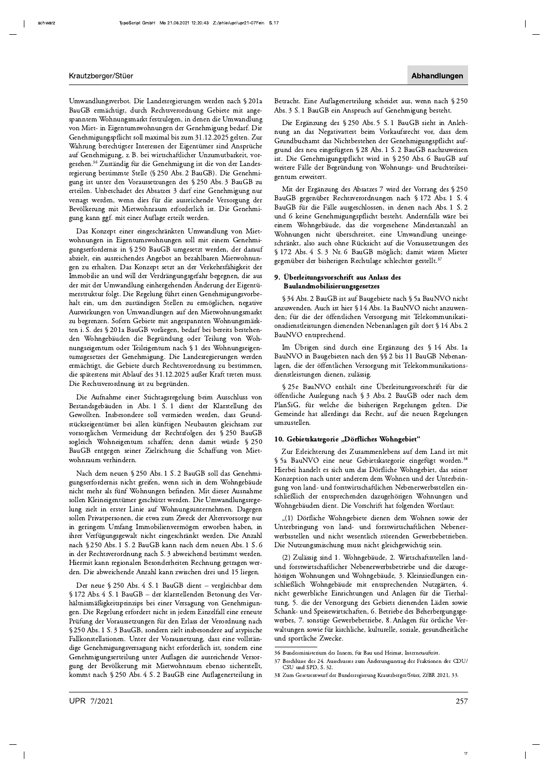Umwandlungsverbot. Die Landesregierungen werden nach § 201a BauGB ermächtigt, durch Rechtsverordnung Gebiete mit angespanntem Wohnungsmarkt festzulegen, in denen die Umwandlung von Miet- in Eigentumswohnungen der Genehmigung bedarf. Die Genehmigungspflicht soll maximal bis zum 31.12.2025 gelten. Zur Wahrung berechtigter Interessen der Eigentümer sind Ansprüche auf Genehmigung, z. B. bei wirtschaftlicher Unzumutbarkeit, vorgesehen.<sup>36</sup> Zuständig für die Genehmigung ist die von der Landesregierung bestimmte Stelle (§ 250 Abs. 2 BauGB). Die Genehmigung ist unter den Voraussetzungen des § 250 Abs. 3 BauGB zu erteilen. Unbeschadet des Absatzes 3 darf eine Genehmigung nur versagt werden, wenn dies für die ausreichende Versorgung der Bevölkerung mit Mietwohnraum erforderlich ist. Die Genehmigung kann ggf. mit einer Auflage erteilt werden.

Das Konzept einer eingeschränkten Umwandlung von Mietwohnungen in Eigentumswohnungen soll mit einem Genehmigungserfordernis in § 250 BauGB umgesetzt werden, der darauf abzielt, ein ausreichendes Angebot an bezahlbaren Mietwohnungen zu erhalten. Das Konzept setzt an der Verkehrsfähigkeit der Immobilie an und will der Verdrängungsgefahr begegnen, die aus der mit der Umwandlung einhergehenden Änderung der Eigentümerstruktur folgt. Die Regelung führt einen Genehmigungsvorbehalt ein, um den zuständigen Stellen zu ermöglichen, negative Auswirkungen von Umwandlungen auf den Mietwohnungsmarkt zu begrenzen. Sofern Gebiete mit angespannten Wohnungsmärkten i. S. des § 201a BauGB vorliegen, bedarf bei bereits bestehenden Wohngebäuden die Begründung oder Teilung von Wohnungseigentum oder Teileigentum nach § 1 des Wohnungseigentumsgesetzes der Genehmigung. Die Landesregierungen werden ermächtigt, die Gebiete durch Rechtsverordnung zu bestimmen, die spätestens mit Ablauf des 31.12.2025 außer Kraft treten muss. Die Rechtsverordnung ist zu begründen.

Die Aufnahme einer Stichtagsregelung beim Ausschluss von Bestandsgebäuden in Abs. 1 S. 1 dient der Klarstellung des Gewollten. Insbesondere soll vermieden werden, dass Grundstückseigentümer bei allen künftigen Neubauten gleichsam zur vorsorglichen Vermeidung der Rechtsfolgen des § 250 BauGB sogleich Wohneigentum schaffen; denn damit würde § 250 BauGB entgegen seiner Zielrichtung die Schaffung von Mietwohnraum verhindern.

Nach dem neuen § 250 Abs. 1 S. 2 BauGB soll das Genehmigungserfordernis nicht greifen, wenn sich in dem Wohngebäude nicht mehr als fünf Wohnungen befinden. Mit dieser Ausnahme sollen Kleineigentümer geschützt werden. Die Umwandlungsregelung zielt in erster Linie auf Wohnungsunternehmen. Dagegen sollen Privatpersonen, die etwa zum Zweck der Altersvorsorge nur in geringem Umfang Immobilienvermögen erworben haben, in ihrer Verfügungsgewalt nicht eingeschränkt werden. Die Anzahl nach § 250 Abs. 1 S. 2 BauGB kann nach dem neuen Abs. 1 S. 6 in der Rechtsverordnung nach S. 3 abweichend bestimmt werden. Hiermit kann regionalen Besonderheiten Rechnung getragen werden. Die abweichende Anzahl kann zwischen drei und 15 liegen.

Der neue § 250 Abs. 4 S. 1 BauGB dient - vergleichbar dem § 172 Abs. 4 S. 1 BauGB - der klarstellenden Betonung des Verhältnismäßigkeitsprinzips bei einer Versagung von Genehmigungen. Die Regelung erfordert nicht in jedem Einzelfall eine erneute Prüfung der Voraussetzungen für den Erlass der Verordnung nach § 250 Abs. 1 S. 3 BauGB, sondern zielt insbesondere auf atypische Fallkonstellationen. Unter der Voraussetzung, dass eine vollständige Genehmigungsversagung nicht erforderlich ist, sondern eine Genehmigungserteilung unter Auflagen die ausreichende Versorgung der Bevölkerung mit Mietwohnraum ebenso sicherstellt, kommt nach § 250 Abs. 4 S. 2 BauGB eine Auflagenerteilung in

Betracht. Eine Auflagenerteilung scheidet aus, wenn nach § 250 Abs. 3 S. 1 BauGB ein Anspruch auf Genehmigung besteht.

Die Ergänzung des § 250 Abs. 5 S. 1 BauGB sieht in Anlehnung an das Negativattest beim Vorkaufsrecht vor, dass dem Grundbuchamt das Nichtbestehen der Genehmigungspflicht aufgrund des neu eingefügten § 28 Abs. 1 S. 2 BauGB nachzuweisen ist. Die Genehmigungspflicht wird in § 250 Abs. 6 BauGB auf weitere Fälle der Begründung von Wohnungs- und Bruchteilseigentum erweitert.

Mit der Ergänzung des Absatzes 7 wird der Vorrang des § 250 BauGB gegenüber Rechtsverordnungen nach § 172 Abs. 1 S. 4 BauGB für die Fälle ausgeschlossen, in denen nach Abs. 1 S. 2 und 6 keine Genehmigungspflicht besteht. Andernfalls wäre bei einem Wohngebäude, das die vorgesehene Mindestanzahl an Wohnungen nicht überschreitet, eine Umwandlung uneingeschränkt, also auch ohne Rücksicht auf die Voraussetzungen des § 172 Abs. 4 S. 3 Nr. 6 BauGB möglich; damit wären Mieter gegenüber der bisherigen Rechtslage schlechter gestellt.<sup>37</sup>

## 9. Überleitungsvorschrift aus Anlass des Baulandmobilisierungsgesetzes

§34 Abs. 2 BauGB ist auf Baugebiete nach §5a BauNVO nicht anzuwenden. Auch ist hier § 14 Abs. 1a BauNVO nicht anzuwenden; für die der öffentlichen Versorgung mit Telekommunikationsdienstleistungen dienenden Nebenanlagen gilt dort § 14 Abs. 2 BauNVO entsprechend.

Im Übrigen sind durch eine Ergänzung des § 14 Abs. 1a BauNVO in Baugebieten nach den §§ 2 bis 11 BauGB Nebenanlagen, die der öffentlichen Versorgung mit Telekommunikationsdienstleistungen dienen, zulässig.

§ 25e BauNVO enthält eine Überleitungsvorschrift für die öffentliche Auslegung nach § 3 Abs. 2 BauGB oder nach dem PlanSiG, für welche die bisherigen Regelungen gelten. Die Gemeinde hat allerdings das Recht, auf die neuen Regelungen umzustellen.

## 10. Gebietskategorie "Dörfliches Wohngebiet"

Zur Erleichterung des Zusammenlebens auf dem Land ist mit § 5a BauNVO eine neue Gebietskategorie eingefügt worden.<sup>38</sup> Hierbei handelt es sich um das Dörfliche Wohngebiet, das seiner Konzeption nach unter anderem dem Wohnen und der Unterbringung von land- und forstwirtschaftlichen Nebenerwerbsstellen einschließlich der entsprechenden dazugehörigen Wohnungen und Wohngebäuden dient. Die Vorschrift hat folgenden Wortlaut:

"(1) Dörfliche Wohngebiete dienen dem Wohnen sowie der Unterbringung von land- und forstwirtschaftlichen Nebenerwerbsstellen und nicht wesentlich störenden Gewerbebetrieben. Die Nutzungsmischung muss nicht gleichgewichtig sein.

(2) Zulässig sind 1. Wohngebäude, 2. Wirtschaftsstellen landund forstwirtschaftlicher Nebenerwerbsbetriebe und die dazugehörigen Wohnungen und Wohngebäude, 3. Kleinsiedlungen einschließlich Wohngebäude mit entsprechenden Nutzgärten, 4. nicht gewerbliche Einrichtungen und Anlagen für die Tierhaltung, 5. die der Versorgung des Gebiets dienenden Läden sowie Schank- und Speisewirtschaften, 6. Betriebe des Beherbergungsgewerbes, 7. sonstige Gewerbebetriebe, 8. Anlagen für örtliche Verwaltungen sowie für kirchliche, kulturelle, soziale, gesundheitliche und sportliche Zwecke.

<sup>36</sup> Bundesministerium des Innern, für Bau und Heimat, Internetauftritt.

<sup>37</sup> Beschlüsse des 24. Ausschusses zum Änderungsantrag der Fraktionen der CDU/ CSU und SPD, S. 32

<sup>38</sup> Zum Gesetzentwurf der Bundesregierung Krautzberger/Stüer, ZfBR 2021, 33.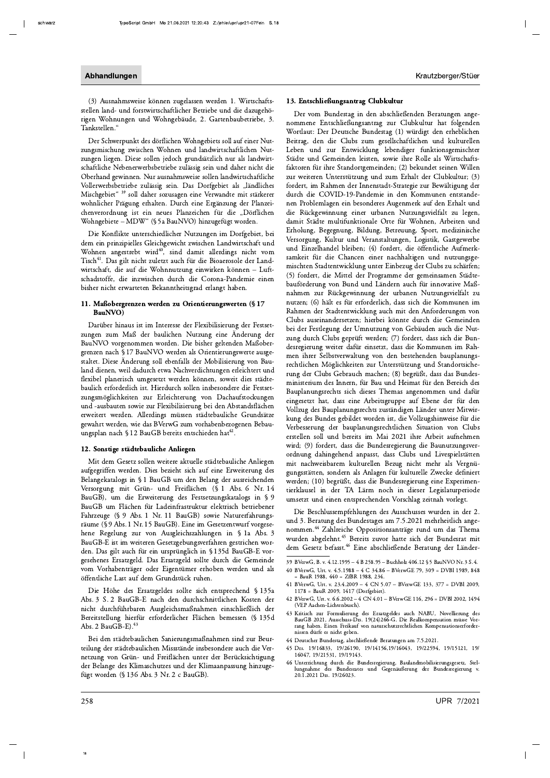(3) Ausnahmsweise können zugelassen werden 1. Wirtschaftsstellen land- und forstwirtschaftlicher Betriebe und die dazugehörigen Wohnungen und Wohngebäude, 2. Gartenbaubetriebe, 3. Tankstellen."

Der Schwerpunkt des dörflichen Wohngebiets soll auf einer Nutzungsmischung zwischen Wohnen und landwirtschaftlichen Nutzungen liegen. Diese sollen jedoch grundsätzlich nur als landwirtschaftliche Nebenerwerbsbetriebe zulässig sein und daher nicht die Oberhand gewinnen. Nur ausnahmsweise sollen landwirtschaftliche Vollerwerbsbetriebe zulässig sein. Das Dorfgebiet als "ländliches Mischgebiet"<sup>39</sup> soll daher sozusagen eine Verwandte mit stärkerer wohnlicher Prägung erhalten. Durch eine Ergänzung der Planzeichenverordnung ist ein neues Planzeichen für die "Dörflichen Wohngebiete - MDW" (§ 5a BauNVO) hinzugefügt worden.

Die Konflikte unterschiedlicher Nutzungen im Dorfgebiet, bei dem ein prinzipielles Gleichgewicht zwischen Landwirtschaft und Wohnen angestrebt wird<sup>40</sup>, sind damit allerdings nicht vom Tisch<sup>41</sup>. Das gilt nicht zuletzt auch für die Bioaerosole der Landwirtschaft, die auf die Wohnnutzung einwirken können - Luftschadstoffe, die inzwischen durch die Corona-Pandemie einen bisher nicht erwarteten Bekanntheitsgrad erlangt haben.

#### 11. Maßobergrenzen werden zu Orientierungswerten (§ 17 BauNVO)

Darüber hinaus ist im Interesse der Flexibilisierung der Festsetzungen zum Maß der baulichen Nutzung eine Änderung der BauNVO vorgenommen worden. Die bisher geltenden Maßobergrenzen nach § 17 BauNVO werden als Orientierungswerte ausgestaltet. Diese Änderung soll ebenfalls der Mobilisierung von Bauland dienen, weil dadurch etwa Nachverdichtungen erleichtert und flexibel planerisch umgesetzt werden können, soweit dies städtebaulich erforderlich ist. Hierdurch sollen insbesondere die Festsetzungsmöglichkeiten zur Erleichterung von Dachaufstockungen und -ausbauten sowie zur Flexibilisierung bei den Abstandsflächen erweitert werden. Allerdings müssen städtebauliche Grundsätze gewahrt werden, wie das BVerwG zum vorhabenbezogenen Bebauungsplan nach § 12 BauGB bereits entschieden hat<sup>42</sup>.

#### 12. Sonstige städtebauliche Anliegen

Mit dem Gesetz sollen weitere aktuelle städtebauliche Anliegen aufgegriffen werden. Dies bezieht sich auf eine Erweiterung des Belangekatalogs in § 1 BauGB um den Belang der ausreichenden Versorgung mit Grün- und Freiflächen (§ 1 Abs. 6 Nr. 14 BauGB), um die Erweiterung des Festsetzungskatalogs in § 9 BauGB um Flächen für Ladeinfrastruktur elektrisch betriebener Fahrzeuge (§ 9 Abs. 1 Nr. 11 BauGB) sowie Naturerfahrungsräume (§9 Abs. 1 Nr. 15 BauGB). Eine im Gesetzentwurf vorgesehene Regelung zur von Ausgleichszahlungen in § 1a Abs. 3 BauGB-E ist im weiteren Gesetzgebungsverfahren gestrichen worden. Das gilt auch für ein ursprünglich in § 135d BauGB-E vorgesehenes Ersatzgeld. Das Ersatzgeld sollte durch die Gemeinde vom Vorhabenträger oder Eigentümer erhoben werden und als öffentliche Last auf dem Grundstück ruhen.

Die Höhe des Ersatzgeldes sollte sich entsprechend § 135a Abs. 3 S. 2 BauGB-E nach den durchschnittlichen Kosten der nicht durchführbaren Ausgleichsmaßnahmen einschließlich der Bereitstellung hierfür erforderlicher Flächen bemessen (§ 135d Abs. 2 BauGB-E).<sup>43</sup>

Bei den städtebaulichen Sanierungsmaßnahmen sind zur Beurteilung der städtebaulichen Missstände insbesondere auch die Vernetzung von Grün- und Freiflächen unter der Berücksichtigung der Belange des Klimaschutzes und der Klimaanpassung hinzugefügt worden (§ 136 Abs. 3 Nr. 2 c BauGB).

Der vom Bundestag in den abschließenden Beratungen angenommene Entschließungsantrag zur Clubkultur hat folgenden Wortlaut: Der Deutsche Bundestag (1) würdigt den erheblichen Beitrag, den die Clubs zum gesellschaftlichen und kulturellen Leben und zur Entwicklung lebendiger funktionsgemischter Städte und Gemeinden leisten, sowie ihre Rolle als Wirtschaftsfaktoren für ihre Standortgemeinden; (2) bekundet seinen Willen zur weiteren Unterstützung und zum Erhalt der Clubkultur; (3) fordert, im Rahmen der Innenstadt-Strategie zur Bewältigung der durch die COVID-19-Pandemie in den Kommunen entstandenen Problemlagen ein besonderes Augenmerk auf den Erhalt und die Rückgewinnung einer urbanen Nutzungsvielfalt zu legen, damit Städte multifunktionale Orte für Wohnen, Arbeiten und Erholung, Begegnung, Bildung, Betreuung, Sport, medizinische Versorgung, Kultur und Veranstaltungen, Logistik, Gastgewerbe und Einzelhandel bleiben; (4) fordert, die öffentliche Aufmerksamkeit für die Chancen einer nachhaltigen und nutzungsgemischten Stadtentwicklung unter Einbezug der Clubs zu schärfen; (5) fordert, die Mittel der Programme der gemeinsamen Städtebauförderung von Bund und Ländern auch für innovative Maßnahmen zur Rückgewinnung der urbanen Nutzungsvielfalt zu nutzen; (6) hält es für erforderlich, dass sich die Kommunen im Rahmen der Stadtentwicklung auch mit den Anforderungen von Clubs auseinandersetzen; hierbei könnte durch die Gemeinden bei der Festlegung der Umnutzung von Gebäuden auch die Nutzung durch Clubs geprüft werden; (7) fordert, dass sich die Bundesregierung weiter dafür einsetzt, dass die Kommunen im Rahmen ihrer Selbstverwaltung von den bestehenden bauplanungsrechtlichen Möglichkeiten zur Unterstützung und Standortsicherung der Clubs Gebrauch machen; (8) begrüßt, dass das Bundesministerium des Innern, für Bau und Heimat für den Bereich des Bauplanungsrechts sich dieses Themas angenommen und dafür eingesetzt hat, dass eine Arbeitsgruppe auf Ebene der für den Vollzug des Bauplanungsrechts zuständigen Länder unter Mitwirkung des Bundes gebildet worden ist, die Vollzugshinweise für die Verbesserung der bauplanungsrechtlichen Situation von Clubs erstellen soll und bereits im Mai 2021 ihre Arbeit aufnehmen wird; (9) fordert, dass die Bundesregierung die Baunutzungsverordnung dahingehend anpasst, dass Clubs und Livespielstätten mit nachweisbarem kulturellen Bezug nicht mehr als Vergnügungsstätten, sondern als Anlagen für kulturelle Zwecke definiert werden; (10) begrüßt, dass die Bundesregierung eine Experimentierklausel in der TA Lärm noch in dieser Legislaturperiode umsetzt und einen entsprechenden Vorschlag zeitnah vorlegt.

Die Beschlussempfehlungen des Ausschusses wurden in der 2. und 3. Beratung des Bundestages am 7.5.2021 mehrheitlich angenommen.<sup>44</sup> Zahlreiche Oppositionsanträge rund um das Thema wurden abgelehnt.<sup>45</sup> Bereits zuvor hatte sich der Bundesrat mit dem Gesetz befasst.<sup>46</sup> Eine abschließende Beratung der Länder-

- 40 BVerwG, Urt. v. 4.5.1988 4 C 34.86 BVerwGE 79, 309 = DVBl 1989, 848 BauR 1988, 440 = ZfBR 1988, 234.
- 41 BVerwG, Urt. v. 23.4.2009 4 CN 5.07 BVerwGE 133, 377 = DVBl 2009,  $1178 = \text{BauR } 2009, 1417 \text{ (Dorfgebiet).}$
- 42 BVerwG, Urt. v. 6.6.2002 4 CN 4.01 BVerwGE 116, 296 = DVBl 2002, 1494 (VEP Aachen-Lichtenbusch).
- 43 Kritisch zur Formulierung des Ersatzgeldes auch NABU, Novellierung des<br>BauGB 2021, Ausschuss-Drs. 19(24)266-G. Die Realkompensation müsse Vorrang haben. Einen Freikauf von naturschutzrechtlichen Kompensationserfordernissen dürfe es nicht geben.
- 44 Deutscher Bundestag, abschließende Beratungen am 7.5.2021.
- 45 Drs. 19/16833, 19/26190, 19/14156,19/16043, 19/22594, 19/15121, 19/ 16047, 19/21531, 19/19143.
- 46 Unterrichtung durch die Bundesregierung, Baulandmobilisierungsgesetz, Stellungnahme des Bundesrates und Gegenäußerung der Bundesregierung v. 20.1.2021 Drs. 19/26023.

<sup>39</sup> BVerwG, B. v. 4.12.1995 - 4 B 258.95 - Buchholz 406.12 § 5 BauNVO Nr. 3 S. 4.